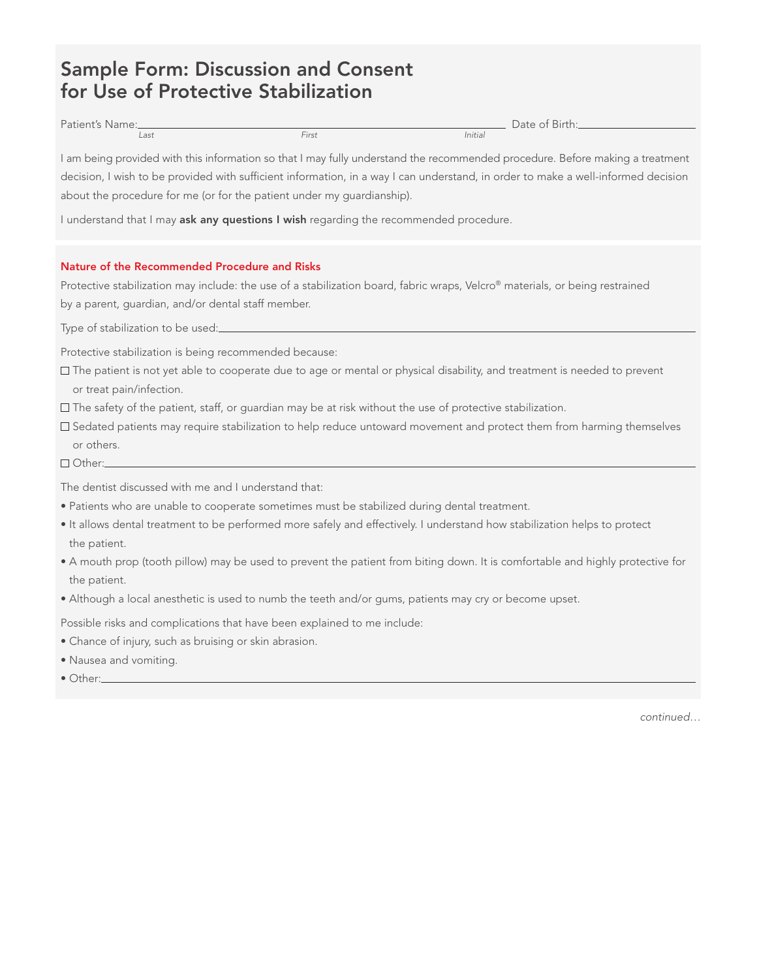## Sample Form: Discussion and Consent for Use of Protective Stabilization

| Patient's Name: |               | $-$<br>$\cup$ ate of<br>` Birth:_ |
|-----------------|---------------|-----------------------------------|
| Last            | $-1$<br>-ırst | Initial                           |

I am being provided with this information so that I may fully understand the recommended procedure. Before making a treatment decision, I wish to be provided with sufficient information, in a way I can understand, in order to make a well-informed decision about the procedure for me (or for the patient under my guardianship).

I understand that I may ask any questions I wish regarding the recommended procedure.

## Nature of the Recommended Procedure and Risks

Protective stabilization may include: the use of a stabilization board, fabric wraps, Velcro® materials, or being restrained by a parent, guardian, and/or dental staff member.

Type of stabilization to be used:

Protective stabilization is being recommended because:

- The patient is not yet able to cooperate due to age or mental or physical disability, and treatment is needed to prevent or treat pain/infection.
- The safety of the patient, staff, or guardian may be at risk without the use of protective stabilization.
- Sedated patients may require stabilization to help reduce untoward movement and protect them from harming themselves or others.
- Other:

The dentist discussed with me and I understand that:

- Patients who are unable to cooperate sometimes must be stabilized during dental treatment.
- • It allows dental treatment to be performed more safely and effectively. I understand how stabilization helps to protect the patient.
- • A mouth prop (tooth pillow) may be used to prevent the patient from biting down. It is comfortable and highly protective for the patient.
- • Although a local anesthetic is used to numb the teeth and/or gums, patients may cry or become upset.

Possible risks and complications that have been explained to me include:

- Chance of injury, such as bruising or skin abrasion.
- • Nausea and vomiting.
- Other:

continued…